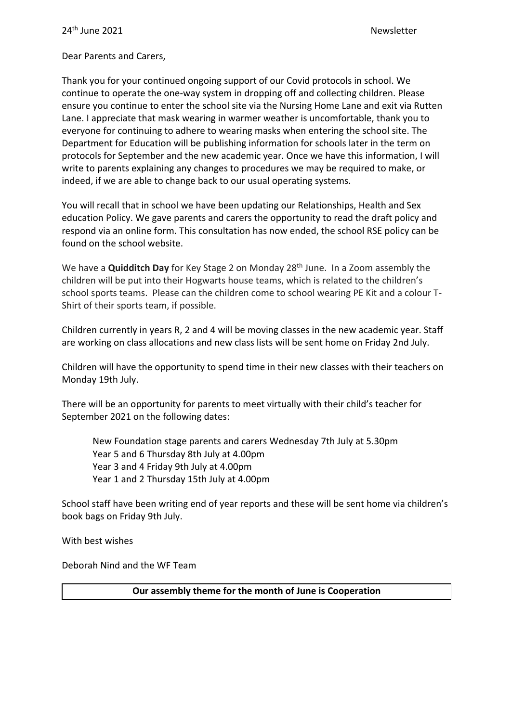Dear Parents and Carers,

Thank you for your continued ongoing support of our Covid protocols in school. We continue to operate the one-way system in dropping off and collecting children. Please ensure you continue to enter the school site via the Nursing Home Lane and exit via Rutten Lane. I appreciate that mask wearing in warmer weather is uncomfortable, thank you to everyone for continuing to adhere to wearing masks when entering the school site. The Department for Education will be publishing information for schools later in the term on protocols for September and the new academic year. Once we have this information, I will write to parents explaining any changes to procedures we may be required to make, or indeed, if we are able to change back to our usual operating systems.

You will recall that in school we have been updating our Relationships, Health and Sex education Policy. We gave parents and carers the opportunity to read the draft policy and respond via an online form. This consultation has now ended, the school RSE policy can be found on the school website.

We have a **Quidditch Day** for Key Stage 2 on Monday 28<sup>th</sup> June. In a Zoom assembly the children will be put into their Hogwarts house teams, which is related to the children's school sports teams. Please can the children come to school wearing PE Kit and a colour T-Shirt of their sports team, if possible.

Children currently in years R, 2 and 4 will be moving classes in the new academic year. Staff are working on class allocations and new class lists will be sent home on Friday 2nd July.

Children will have the opportunity to spend time in their new classes with their teachers on Monday 19th July.

There will be an opportunity for parents to meet virtually with their child's teacher for September 2021 on the following dates:

New Foundation stage parents and carers Wednesday 7th July at 5.30pm Year 5 and 6 Thursday 8th July at 4.00pm Year 3 and 4 Friday 9th July at 4.00pm Year 1 and 2 Thursday 15th July at 4.00pm

School staff have been writing end of year reports and these will be sent home via children's book bags on Friday 9th July.

With best wishes

Deborah Nind and the WF Team

**Our assembly theme for the month of June is Cooperation**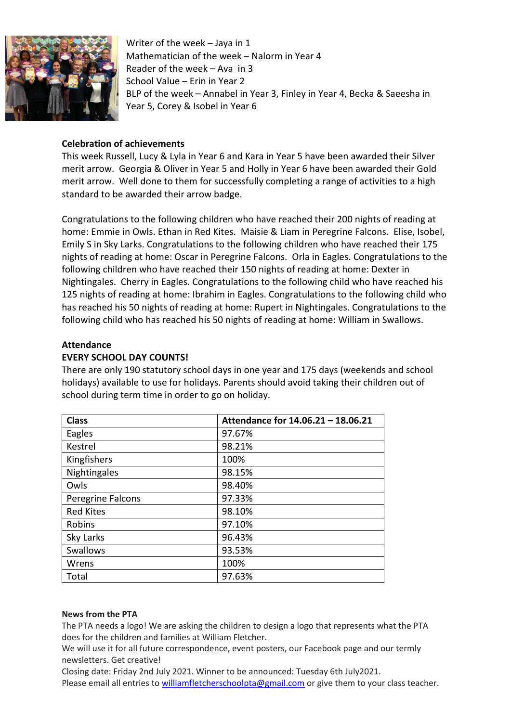

Writer of the week – Jaya in 1 Mathematician of the week – Nalorm in Year 4 Reader of the week – Ava in 3 School Value – Erin in Year 2 BLP of the week – Annabel in Year 3, Finley in Year 4, Becka & Saeesha in Year 5, Corey & Isobel in Year 6

# **Celebration of achievements**

This week Russell, Lucy & Lyla in Year 6 and Kara in Year 5 have been awarded their Silver merit arrow. Georgia & Oliver in Year 5 and Holly in Year 6 have been awarded their Gold merit arrow. Well done to them for successfully completing a range of activities to a high standard to be awarded their arrow badge.

Congratulations to the following children who have reached their 200 nights of reading at home: Emmie in Owls. Ethan in Red Kites. Maisie & Liam in Peregrine Falcons. Elise, Isobel, Emily S in Sky Larks. Congratulations to the following children who have reached their 175 nights of reading at home: Oscar in Peregrine Falcons. Orla in Eagles. Congratulations to the following children who have reached their 150 nights of reading at home: Dexter in Nightingales. Cherry in Eagles. Congratulations to the following child who have reached his 125 nights of reading at home: Ibrahim in Eagles. Congratulations to the following child who has reached his 50 nights of reading at home: Rupert in Nightingales. Congratulations to the following child who has reached his 50 nights of reading at home: William in Swallows.

# **Attendance**

# **EVERY SCHOOL DAY COUNTS!**

There are only 190 statutory school days in one year and 175 days (weekends and school holidays) available to use for holidays. Parents should avoid taking their children out of school during term time in order to go on holiday.

| <b>Class</b>      | Attendance for 14.06.21 - 18.06.21 |
|-------------------|------------------------------------|
| Eagles            | 97.67%                             |
| Kestrel           | 98.21%                             |
| Kingfishers       | 100%                               |
| Nightingales      | 98.15%                             |
| Owls              | 98.40%                             |
| Peregrine Falcons | 97.33%                             |
| <b>Red Kites</b>  | 98.10%                             |
| Robins            | 97.10%                             |
| Sky Larks         | 96.43%                             |
| <b>Swallows</b>   | 93.53%                             |
| Wrens             | 100%                               |
| Total             | 97.63%                             |

### **News from the PTA**

The PTA needs a logo! We are asking the children to design a logo that represents what the PTA does for the children and families at William Fletcher.

We will use it for all future correspondence, event posters, our Facebook page and our termly newsletters. Get creative!

Closing date: Friday 2nd July 2021. Winner to be announced: Tuesday 6th July2021. Please email all entries to [williamfletcherschoolpta@gmail.com](mailto:williamfletcherschoolpta@gmail.com) or give them to your class teacher.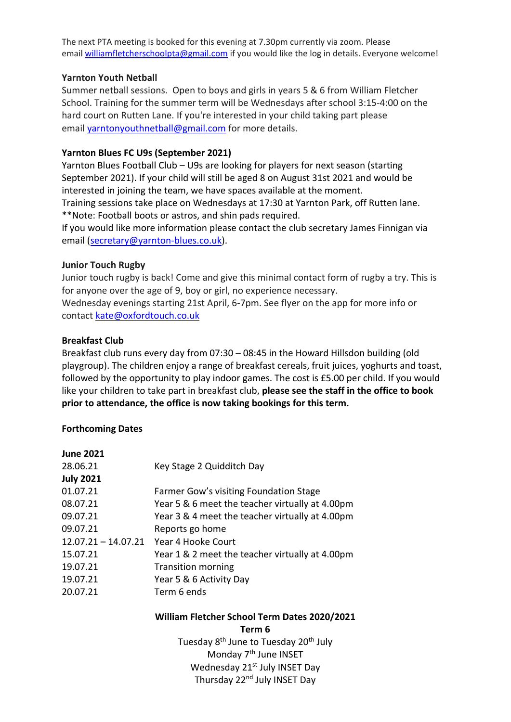The next PTA meeting is booked for this evening at 7.30pm currently via zoom. Please email [williamfletcherschoolpta@gmail.com](mailto:williamfletcherschoolpta@gmail.com) if you would like the log in details. Everyone welcome!

### **Yarnton Youth Netball**

Summer netball sessions. Open to boys and girls in years 5 & 6 from William Fletcher School. Training for the summer term will be Wednesdays after school 3:15-4:00 on the hard court on Rutten Lane. If you're interested in your child taking part please email [yarntonyouthnetball@gmail.com](mailto:yarntonyouthnetball@gmail.com) for more details.

# **Yarnton Blues FC U9s (September 2021)**

Yarnton Blues Football Club – U9s are looking for players for next season (starting September 2021). If your child will still be aged 8 on August 31st 2021 and would be interested in joining the team, we have spaces available at the moment.

Training sessions take place on Wednesdays at 17:30 at Yarnton Park, off Rutten lane. \*\*Note: Football boots or astros, and shin pads required.

If you would like more information please contact the club secretary James Finnigan via email [\(secretary@yarnton-blues.co.uk\)](mailto:secretary@yarnton-blues.co.uk).

# **Junior Touch Rugby**

Junior touch rugby is back! Come and give this minimal contact form of rugby a try. This is for anyone over the age of 9, boy or girl, no experience necessary. Wednesday evenings starting 21st April, 6-7pm. See flyer on the app for more info or contact [kate@oxfordtouch.co.uk](mailto:kate@oxfordtouch.co.uk)

# **Breakfast Club**

Breakfast club runs every day from 07:30 – 08:45 in the Howard Hillsdon building (old playgroup). The children enjoy a range of breakfast cereals, fruit juices, yoghurts and toast, followed by the opportunity to play indoor games. The cost is £5.00 per child. If you would like your children to take part in breakfast club, **please see the staff in the office to book prior to attendance, the office is now taking bookings for this term.**

# **Forthcoming Dates**

| <b>June 2021</b>                       |                                                 |
|----------------------------------------|-------------------------------------------------|
| 28.06.21                               | Key Stage 2 Quidditch Day                       |
| <b>July 2021</b>                       |                                                 |
| 01.07.21                               | Farmer Gow's visiting Foundation Stage          |
| 08.07.21                               | Year 5 & 6 meet the teacher virtually at 4.00pm |
| 09.07.21                               | Year 3 & 4 meet the teacher virtually at 4.00pm |
| 09.07.21                               | Reports go home                                 |
| 12.07.21 - 14.07.21 Year 4 Hooke Court |                                                 |
| 15.07.21                               | Year 1 & 2 meet the teacher virtually at 4.00pm |
| 19.07.21                               | <b>Transition morning</b>                       |
| 19.07.21                               | Year 5 & 6 Activity Day                         |
| 20.07.21                               | Term 6 ends                                     |
|                                        |                                                 |

#### **William Fletcher School Term Dates 2020/2021 Term 6**

Tuesday 8<sup>th</sup> June to Tuesday 20<sup>th</sup> July Monday 7<sup>th</sup> June INSET Wednesday 21<sup>st</sup> July INSET Day Thursday 22<sup>nd</sup> July INSET Day